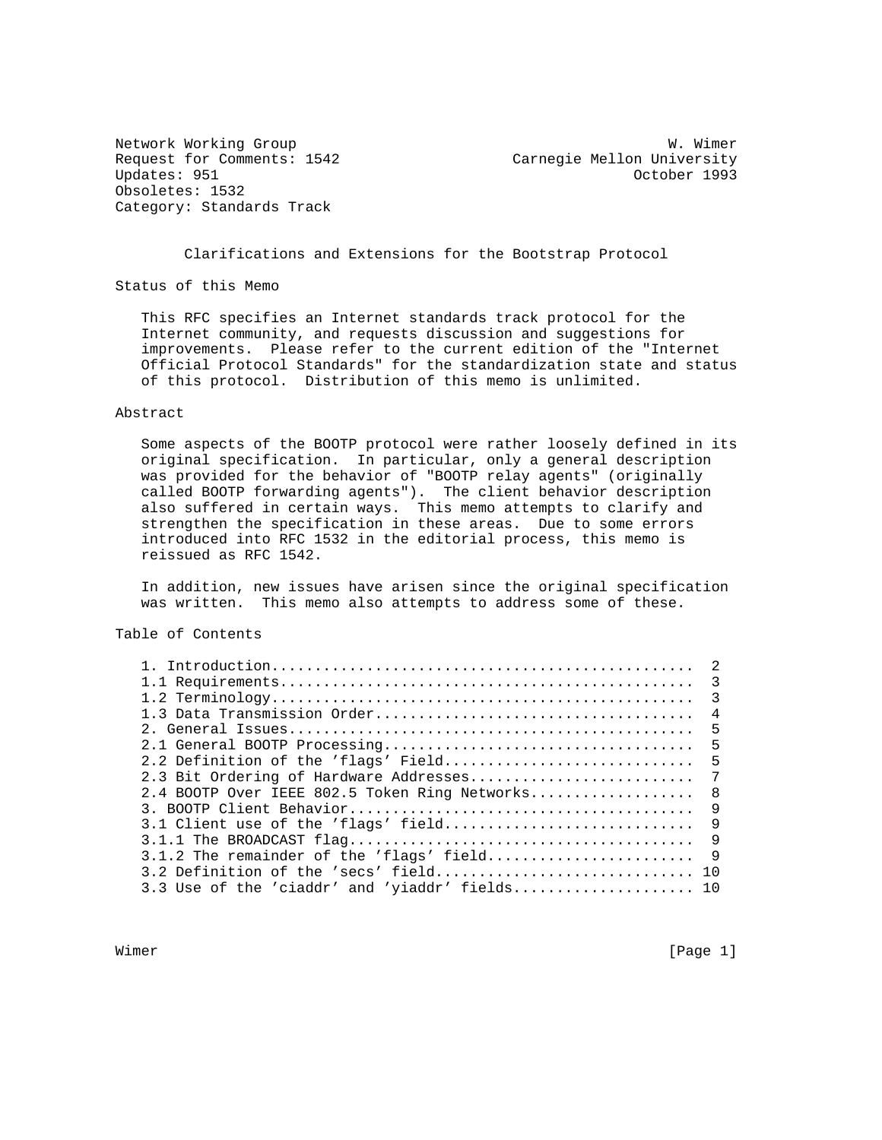Obsoletes: 1532 Category: Standards Track

Network Working Group Website Communications and W. Wimer Request for Comments: 1542 Carnegie Mellon University<br>Updates: 951 Corology Carnegie Mellon University October 1993

Clarifications and Extensions for the Bootstrap Protocol

Status of this Memo

 This RFC specifies an Internet standards track protocol for the Internet community, and requests discussion and suggestions for improvements. Please refer to the current edition of the "Internet Official Protocol Standards" for the standardization state and status of this protocol. Distribution of this memo is unlimited.

#### Abstract

 Some aspects of the BOOTP protocol were rather loosely defined in its original specification. In particular, only a general description was provided for the behavior of "BOOTP relay agents" (originally called BOOTP forwarding agents"). The client behavior description also suffered in certain ways. This memo attempts to clarify and strengthen the specification in these areas. Due to some errors introduced into RFC 1532 in the editorial process, this memo is reissued as RFC 1542.

 In addition, new issues have arisen since the original specification was written. This memo also attempts to address some of these.

Table of Contents

|                                                | $\overline{2}$ |
|------------------------------------------------|----------------|
|                                                |                |
|                                                | $\mathcal{R}$  |
|                                                | $\overline{4}$ |
|                                                | -5             |
|                                                | - 5            |
| 2.2 Definition of the 'flags' Field            | - 5            |
| 2.3 Bit Ordering of Hardware Addresses         | 7              |
| 2.4 BOOTP Over IEEE 802.5 Token Ring Networks  | - 8            |
|                                                | 9              |
| 3.1 Client use of the 'flags' field            | 9              |
|                                                | 9              |
| $3.1.2$ The remainder of the 'flags' field     | -9             |
|                                                |                |
| 3.3 Use of the 'ciaddr' and 'yiaddr' fields 10 |                |
|                                                |                |

Wimer [Page 1]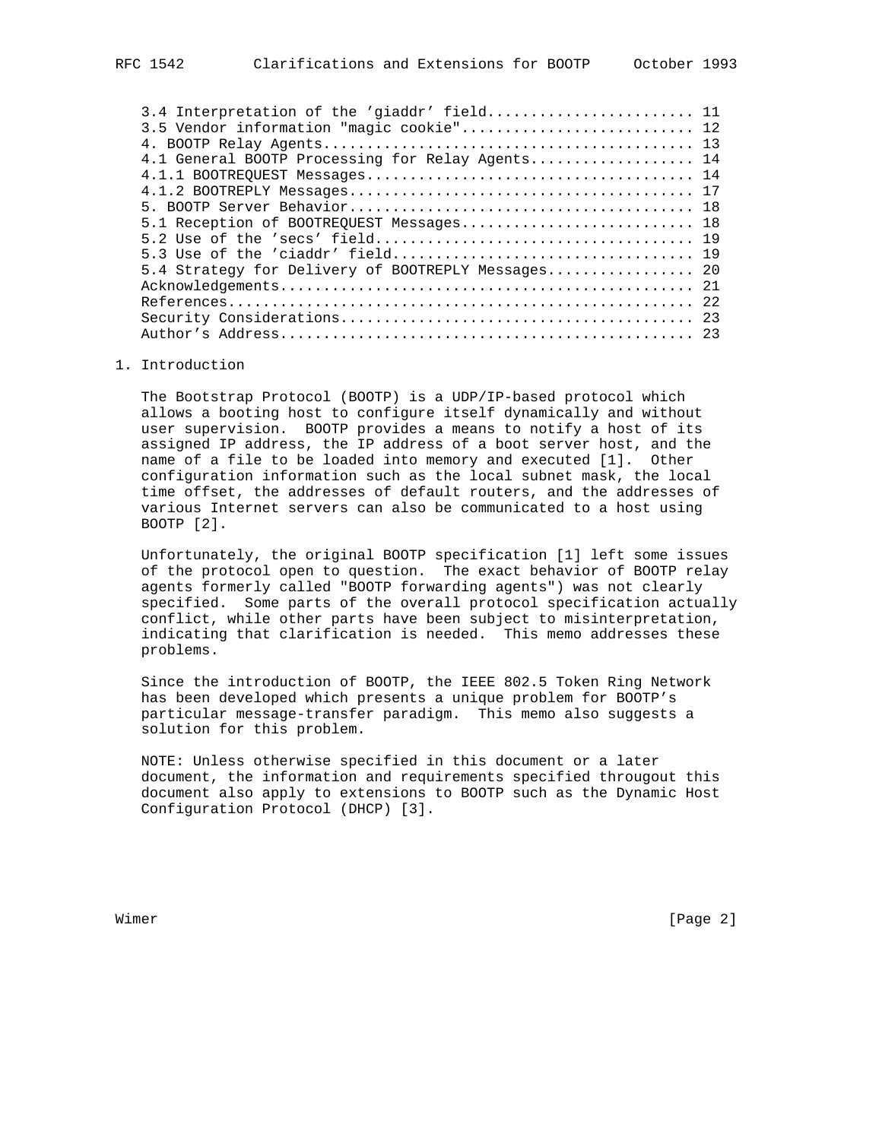| 3.4 Interpretation of the 'giaddr' field 11        |  |
|----------------------------------------------------|--|
| 3.5 Vendor information "magic cookie" 12           |  |
|                                                    |  |
| 4.1 General BOOTP Processing for Relay Agents 14   |  |
|                                                    |  |
|                                                    |  |
|                                                    |  |
| 5.1 Reception of BOOTREQUEST Messages 18           |  |
|                                                    |  |
|                                                    |  |
| 5.4 Strategy for Delivery of BOOTREPLY Messages 20 |  |
|                                                    |  |
|                                                    |  |
|                                                    |  |
|                                                    |  |

### 1. Introduction

 The Bootstrap Protocol (BOOTP) is a UDP/IP-based protocol which allows a booting host to configure itself dynamically and without user supervision. BOOTP provides a means to notify a host of its assigned IP address, the IP address of a boot server host, and the name of a file to be loaded into memory and executed [1]. Other configuration information such as the local subnet mask, the local time offset, the addresses of default routers, and the addresses of various Internet servers can also be communicated to a host using BOOTP [2].

 Unfortunately, the original BOOTP specification [1] left some issues of the protocol open to question. The exact behavior of BOOTP relay agents formerly called "BOOTP forwarding agents") was not clearly specified. Some parts of the overall protocol specification actually conflict, while other parts have been subject to misinterpretation, indicating that clarification is needed. This memo addresses these problems.

 Since the introduction of BOOTP, the IEEE 802.5 Token Ring Network has been developed which presents a unique problem for BOOTP's particular message-transfer paradigm. This memo also suggests a solution for this problem.

 NOTE: Unless otherwise specified in this document or a later document, the information and requirements specified througout this document also apply to extensions to BOOTP such as the Dynamic Host Configuration Protocol (DHCP) [3].

Wimer [Page 2]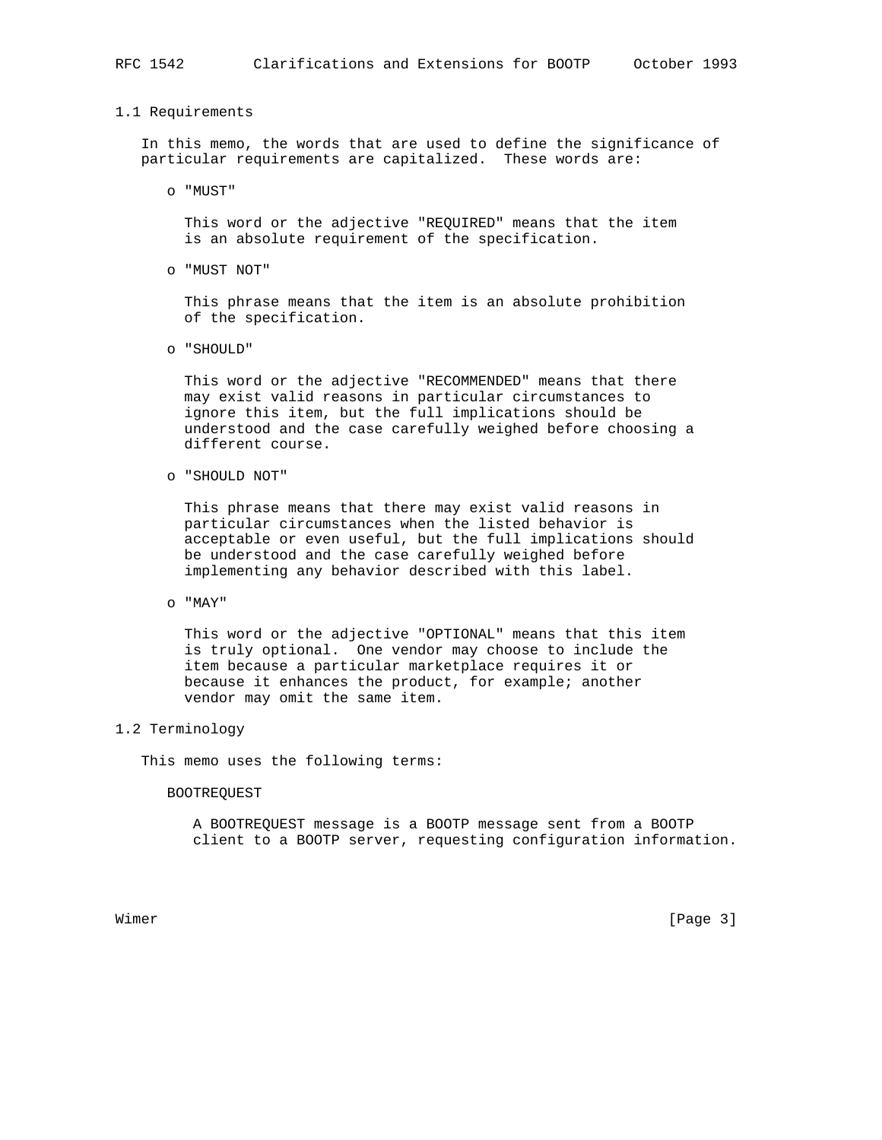## 1.1 Requirements

 In this memo, the words that are used to define the significance of particular requirements are capitalized. These words are:

o "MUST"

 This word or the adjective "REQUIRED" means that the item is an absolute requirement of the specification.

o "MUST NOT"

 This phrase means that the item is an absolute prohibition of the specification.

o "SHOULD"

 This word or the adjective "RECOMMENDED" means that there may exist valid reasons in particular circumstances to ignore this item, but the full implications should be understood and the case carefully weighed before choosing a different course.

o "SHOULD NOT"

 This phrase means that there may exist valid reasons in particular circumstances when the listed behavior is acceptable or even useful, but the full implications should be understood and the case carefully weighed before implementing any behavior described with this label.

o "MAY"

 This word or the adjective "OPTIONAL" means that this item is truly optional. One vendor may choose to include the item because a particular marketplace requires it or because it enhances the product, for example; another vendor may omit the same item.

# 1.2 Terminology

This memo uses the following terms:

#### BOOTREQUEST

 A BOOTREQUEST message is a BOOTP message sent from a BOOTP client to a BOOTP server, requesting configuration information.

Wimer [Page 3]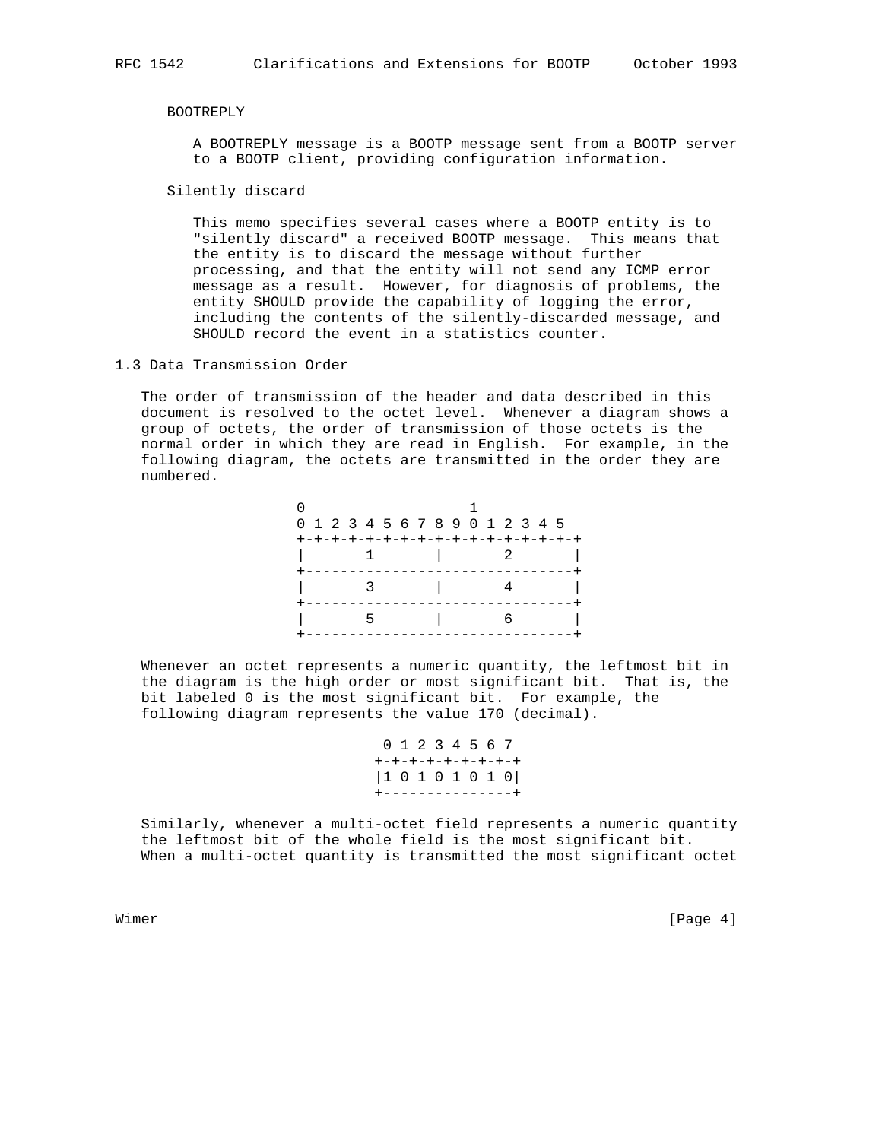#### BOOTREPLY

 A BOOTREPLY message is a BOOTP message sent from a BOOTP server to a BOOTP client, providing configuration information.

Silently discard

 This memo specifies several cases where a BOOTP entity is to "silently discard" a received BOOTP message. This means that the entity is to discard the message without further processing, and that the entity will not send any ICMP error message as a result. However, for diagnosis of problems, the entity SHOULD provide the capability of logging the error, including the contents of the silently-discarded message, and SHOULD record the event in a statistics counter.

1.3 Data Transmission Order

 The order of transmission of the header and data described in this document is resolved to the octet level. Whenever a diagram shows a group of octets, the order of transmission of those octets is the normal order in which they are read in English. For example, in the following diagram, the octets are transmitted in the order they are numbered.

| 0 1 2 3 4 5 6 7 8 9 0 1 2 3 4 5     |  |  |                     |  |  |  |  |
|-------------------------------------|--|--|---------------------|--|--|--|--|
| +-+-+-+-+-+-+-+-+-+-+-+-+-+-+-+-+-+ |  |  |                     |  |  |  |  |
|                                     |  |  | $1 \quad 1 \quad 2$ |  |  |  |  |
|                                     |  |  |                     |  |  |  |  |
|                                     |  |  | $\sim$ 1.           |  |  |  |  |
|                                     |  |  |                     |  |  |  |  |
|                                     |  |  |                     |  |  |  |  |
|                                     |  |  |                     |  |  |  |  |

 Whenever an octet represents a numeric quantity, the leftmost bit in the diagram is the high order or most significant bit. That is, the bit labeled 0 is the most significant bit. For example, the following diagram represents the value 170 (decimal).

|  |  |  |  | 0 1 2 3 4 5 6 7   |
|--|--|--|--|-------------------|
|  |  |  |  | +-+-+-+-+-+-+-+-+ |
|  |  |  |  | 10101010          |
|  |  |  |  | +---------------+ |

 Similarly, whenever a multi-octet field represents a numeric quantity the leftmost bit of the whole field is the most significant bit. When a multi-octet quantity is transmitted the most significant octet

Wimer [Page 4]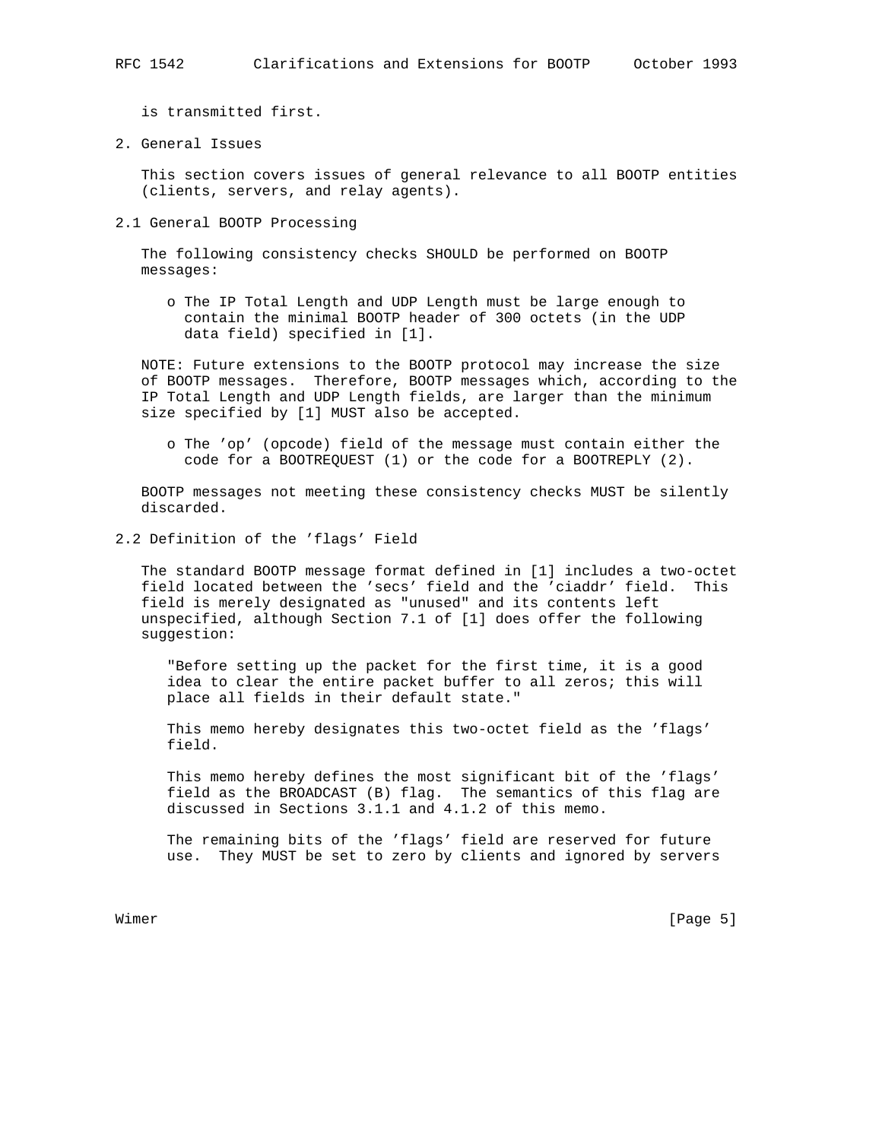is transmitted first.

2. General Issues

 This section covers issues of general relevance to all BOOTP entities (clients, servers, and relay agents).

2.1 General BOOTP Processing

 The following consistency checks SHOULD be performed on BOOTP messages:

 o The IP Total Length and UDP Length must be large enough to contain the minimal BOOTP header of 300 octets (in the UDP data field) specified in [1].

 NOTE: Future extensions to the BOOTP protocol may increase the size of BOOTP messages. Therefore, BOOTP messages which, according to the IP Total Length and UDP Length fields, are larger than the minimum size specified by [1] MUST also be accepted.

 o The 'op' (opcode) field of the message must contain either the code for a BOOTREQUEST (1) or the code for a BOOTREPLY (2).

 BOOTP messages not meeting these consistency checks MUST be silently discarded.

2.2 Definition of the 'flags' Field

 The standard BOOTP message format defined in [1] includes a two-octet field located between the 'secs' field and the 'ciaddr' field. This field is merely designated as "unused" and its contents left unspecified, although Section 7.1 of [1] does offer the following suggestion:

 "Before setting up the packet for the first time, it is a good idea to clear the entire packet buffer to all zeros; this will place all fields in their default state."

 This memo hereby designates this two-octet field as the 'flags' field.

 This memo hereby defines the most significant bit of the 'flags' field as the BROADCAST (B) flag. The semantics of this flag are discussed in Sections 3.1.1 and 4.1.2 of this memo.

 The remaining bits of the 'flags' field are reserved for future use. They MUST be set to zero by clients and ignored by servers

Wimer [Page 5]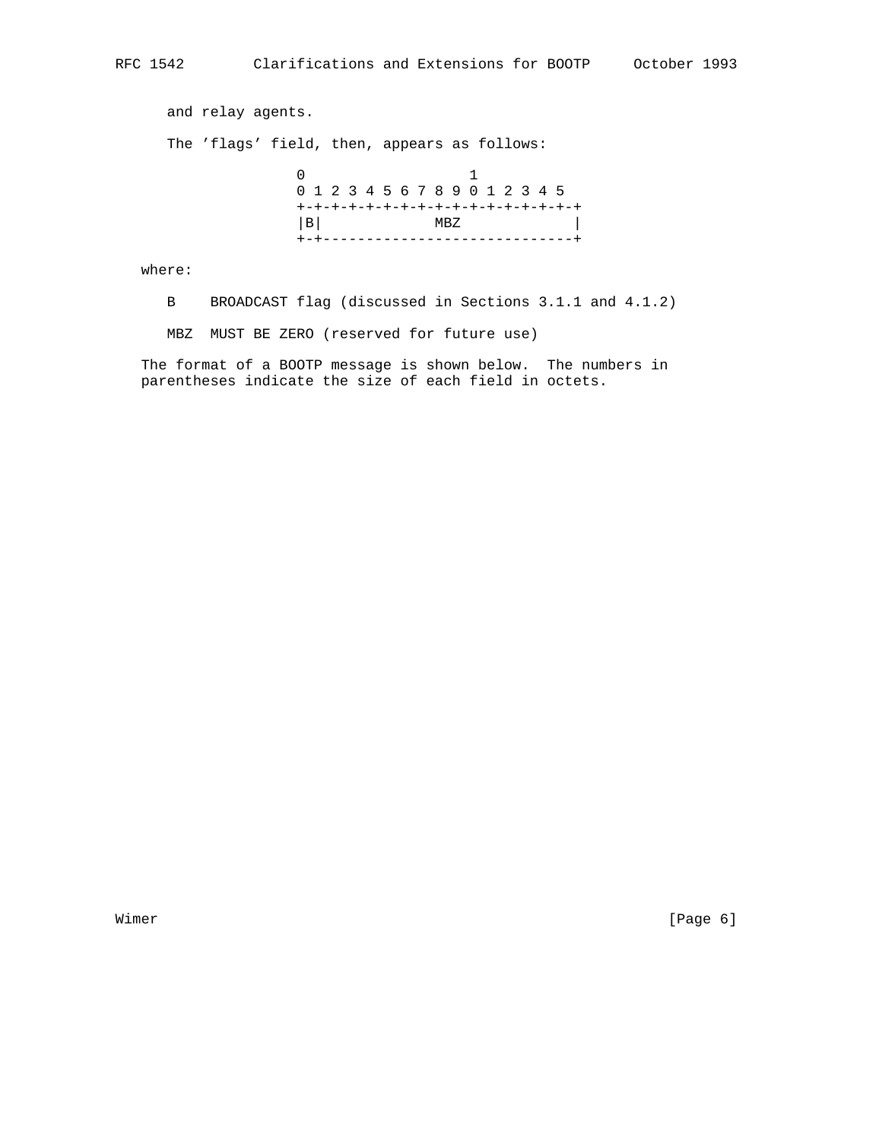and relay agents.

The 'flags' field, then, appears as follows:

 0 1 0 1 2 3 4 5 6 7 8 9 0 1 2 3 4 5 +-+-+-+-+-+-+-+-+-+-+-+-+-+-+-+-+  $|B|$  MBZ  $|B|$ +-+-----------------------------+

where:

B BROADCAST flag (discussed in Sections 3.1.1 and 4.1.2)

MBZ MUST BE ZERO (reserved for future use)

 The format of a BOOTP message is shown below. The numbers in parentheses indicate the size of each field in octets.

Wimer [Page 6]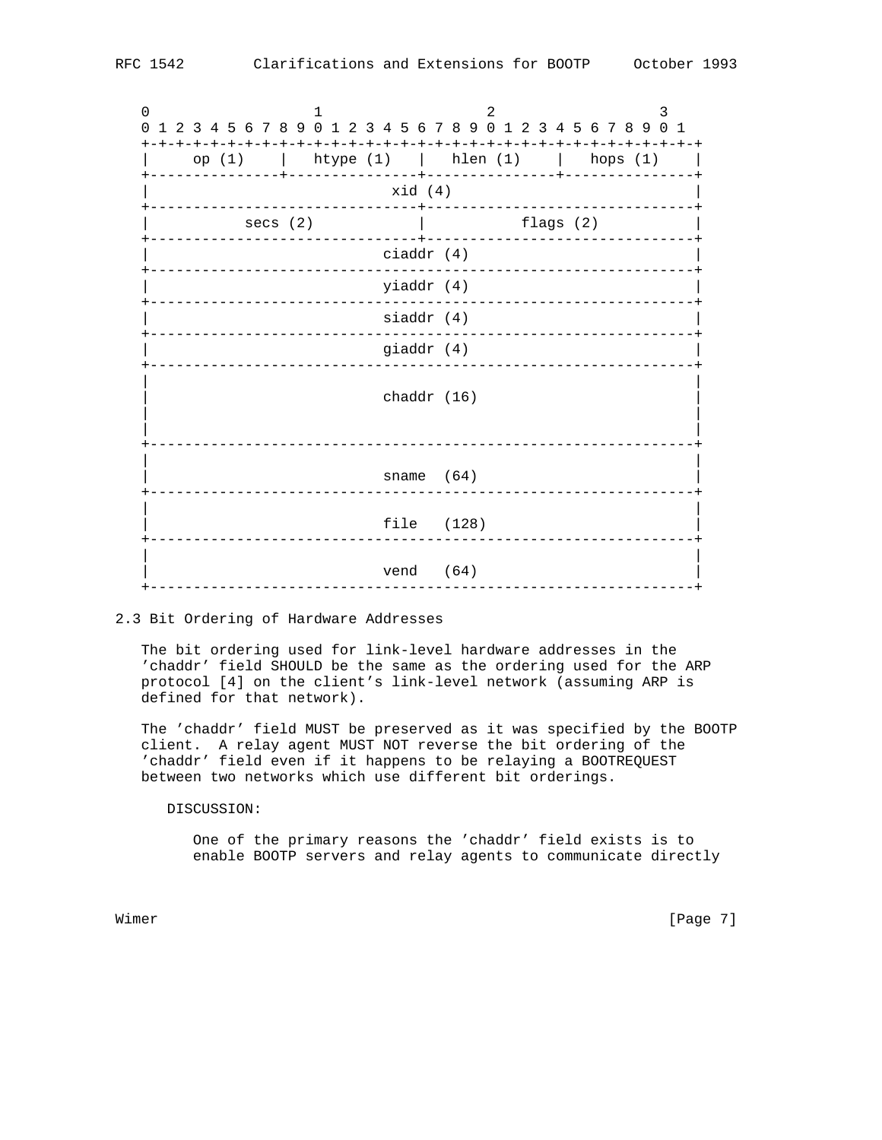0  $1$  2 3 0 1 2 3 4 5 6 7 8 9 0 1 2 3 4 5 6 7 8 9 0 1 2 3 4 5 6 7 8 9 0 1 +-+-+-+-+-+-+-+-+-+-+-+-+-+-+-+-+-+-+-+-+-+-+-+-+-+-+-+-+-+-+-+-+ | op (1) | htype (1) | hlen (1) | hops (1) | +---------------+---------------+---------------+---------------+ | xid (4) | +-------------------------------+-------------------------------+ secs (2)  $\qquad \qquad$  | flags (2) +-------------------------------+-------------------------------+ | ciaddr (4) | +---------------------------------------------------------------+ | yiaddr (4) | +---------------------------------------------------------------+ siaddr (4) +---------------------------------------------------------------+ giaddr (4) +---------------------------------------------------------------+ | | | chaddr (16) | | | | | +---------------------------------------------------------------+ | | sname (64) +---------------------------------------------------------------+ | | file (128) +---------------------------------------------------------------+ | | vend (64) +---------------------------------------------------------------+

### 2.3 Bit Ordering of Hardware Addresses

 The bit ordering used for link-level hardware addresses in the 'chaddr' field SHOULD be the same as the ordering used for the ARP protocol [4] on the client's link-level network (assuming ARP is defined for that network).

 The 'chaddr' field MUST be preserved as it was specified by the BOOTP client. A relay agent MUST NOT reverse the bit ordering of the 'chaddr' field even if it happens to be relaying a BOOTREQUEST between two networks which use different bit orderings.

### DISCUSSION:

 One of the primary reasons the 'chaddr' field exists is to enable BOOTP servers and relay agents to communicate directly

Wimer [Page 7]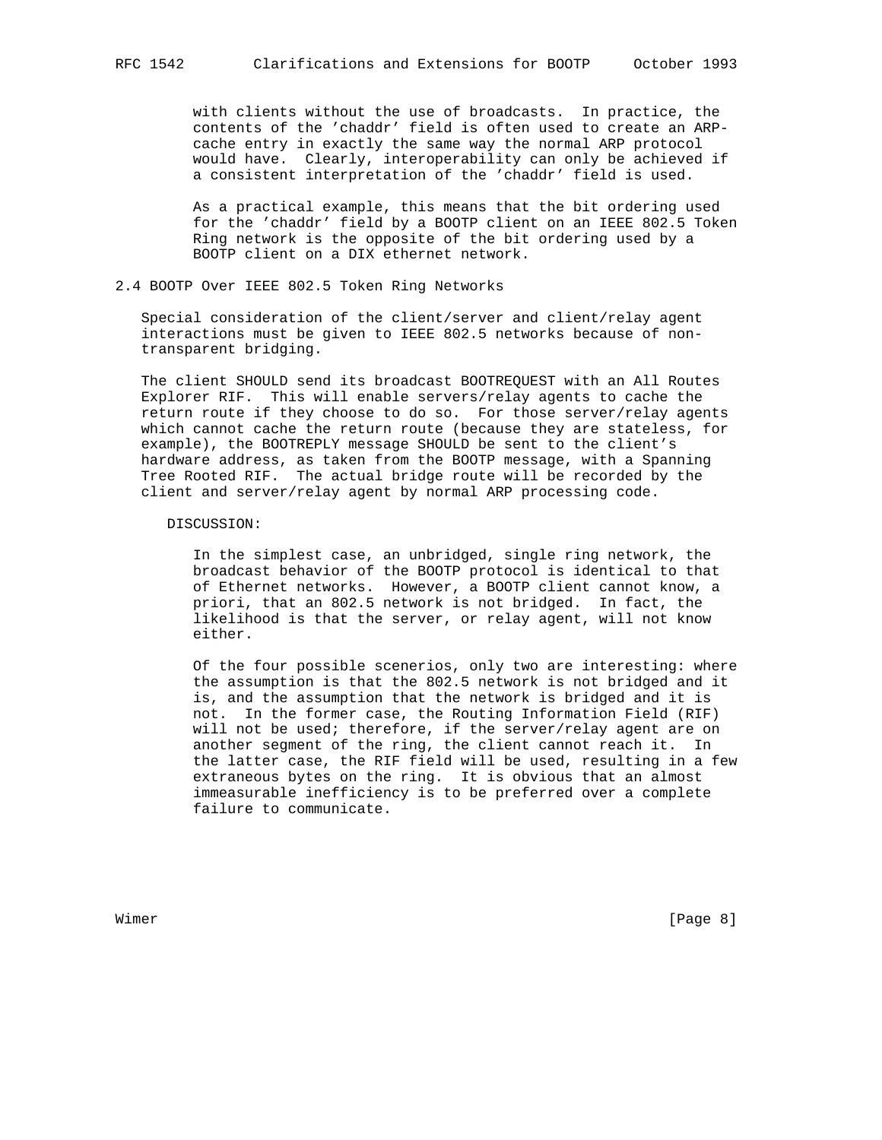with clients without the use of broadcasts. In practice, the contents of the 'chaddr' field is often used to create an ARP cache entry in exactly the same way the normal ARP protocol would have. Clearly, interoperability can only be achieved if a consistent interpretation of the 'chaddr' field is used.

 As a practical example, this means that the bit ordering used for the 'chaddr' field by a BOOTP client on an IEEE 802.5 Token Ring network is the opposite of the bit ordering used by a BOOTP client on a DIX ethernet network.

# 2.4 BOOTP Over IEEE 802.5 Token Ring Networks

 Special consideration of the client/server and client/relay agent interactions must be given to IEEE 802.5 networks because of non transparent bridging.

 The client SHOULD send its broadcast BOOTREQUEST with an All Routes Explorer RIF. This will enable servers/relay agents to cache the return route if they choose to do so. For those server/relay agents which cannot cache the return route (because they are stateless, for example), the BOOTREPLY message SHOULD be sent to the client's hardware address, as taken from the BOOTP message, with a Spanning Tree Rooted RIF. The actual bridge route will be recorded by the client and server/relay agent by normal ARP processing code.

#### DISCUSSION:

 In the simplest case, an unbridged, single ring network, the broadcast behavior of the BOOTP protocol is identical to that of Ethernet networks. However, a BOOTP client cannot know, a priori, that an 802.5 network is not bridged. In fact, the likelihood is that the server, or relay agent, will not know either.

 Of the four possible scenerios, only two are interesting: where the assumption is that the 802.5 network is not bridged and it is, and the assumption that the network is bridged and it is not. In the former case, the Routing Information Field (RIF) will not be used; therefore, if the server/relay agent are on another segment of the ring, the client cannot reach it. In the latter case, the RIF field will be used, resulting in a few extraneous bytes on the ring. It is obvious that an almost immeasurable inefficiency is to be preferred over a complete failure to communicate.

Wimer [Page 8]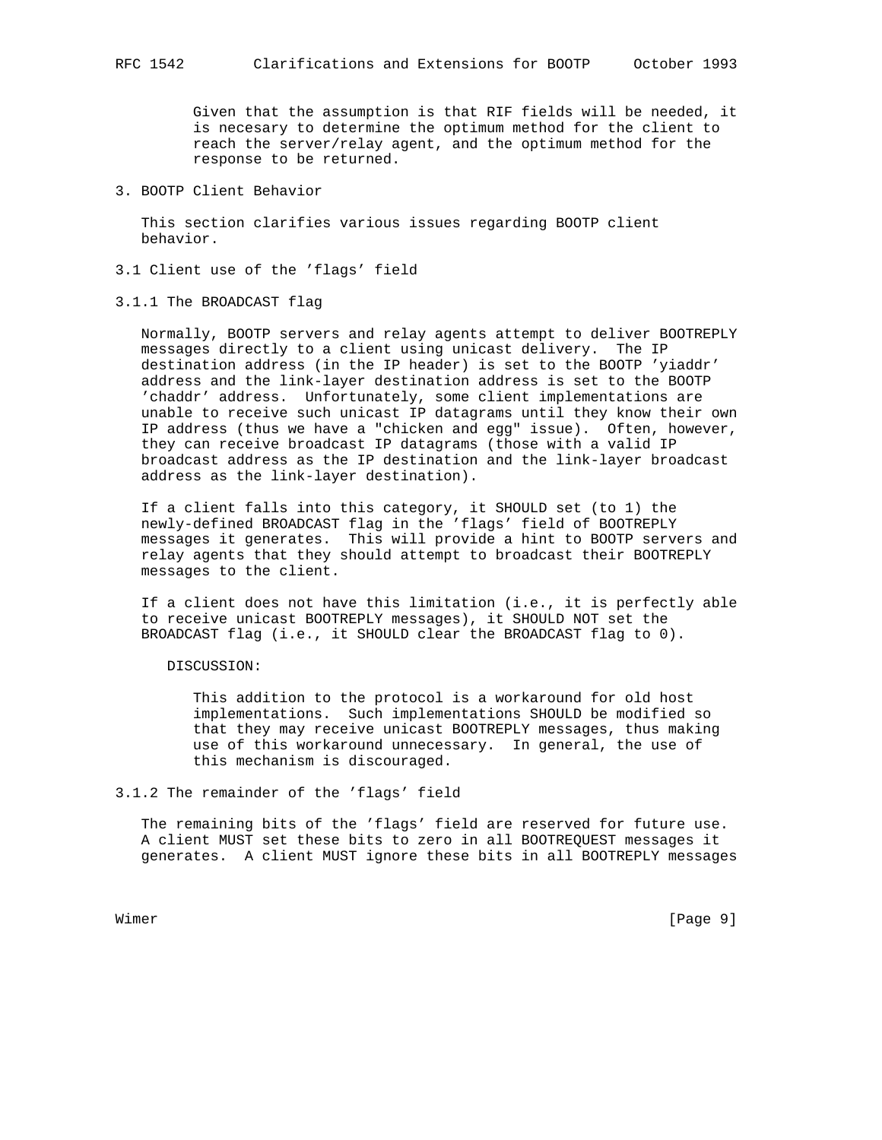Given that the assumption is that RIF fields will be needed, it is necesary to determine the optimum method for the client to reach the server/relay agent, and the optimum method for the response to be returned.

3. BOOTP Client Behavior

 This section clarifies various issues regarding BOOTP client behavior.

- 3.1 Client use of the 'flags' field
- 3.1.1 The BROADCAST flag

 Normally, BOOTP servers and relay agents attempt to deliver BOOTREPLY messages directly to a client using unicast delivery. The IP destination address (in the IP header) is set to the BOOTP 'yiaddr' address and the link-layer destination address is set to the BOOTP 'chaddr' address. Unfortunately, some client implementations are unable to receive such unicast IP datagrams until they know their own IP address (thus we have a "chicken and egg" issue). Often, however, they can receive broadcast IP datagrams (those with a valid IP broadcast address as the IP destination and the link-layer broadcast address as the link-layer destination).

 If a client falls into this category, it SHOULD set (to 1) the newly-defined BROADCAST flag in the 'flags' field of BOOTREPLY messages it generates. This will provide a hint to BOOTP servers and relay agents that they should attempt to broadcast their BOOTREPLY messages to the client.

 If a client does not have this limitation (i.e., it is perfectly able to receive unicast BOOTREPLY messages), it SHOULD NOT set the BROADCAST flag (i.e., it SHOULD clear the BROADCAST flag to 0).

#### DISCUSSION:

 This addition to the protocol is a workaround for old host implementations. Such implementations SHOULD be modified so that they may receive unicast BOOTREPLY messages, thus making use of this workaround unnecessary. In general, the use of this mechanism is discouraged.

3.1.2 The remainder of the 'flags' field

 The remaining bits of the 'flags' field are reserved for future use. A client MUST set these bits to zero in all BOOTREQUEST messages it generates. A client MUST ignore these bits in all BOOTREPLY messages

Wimer [Page 9]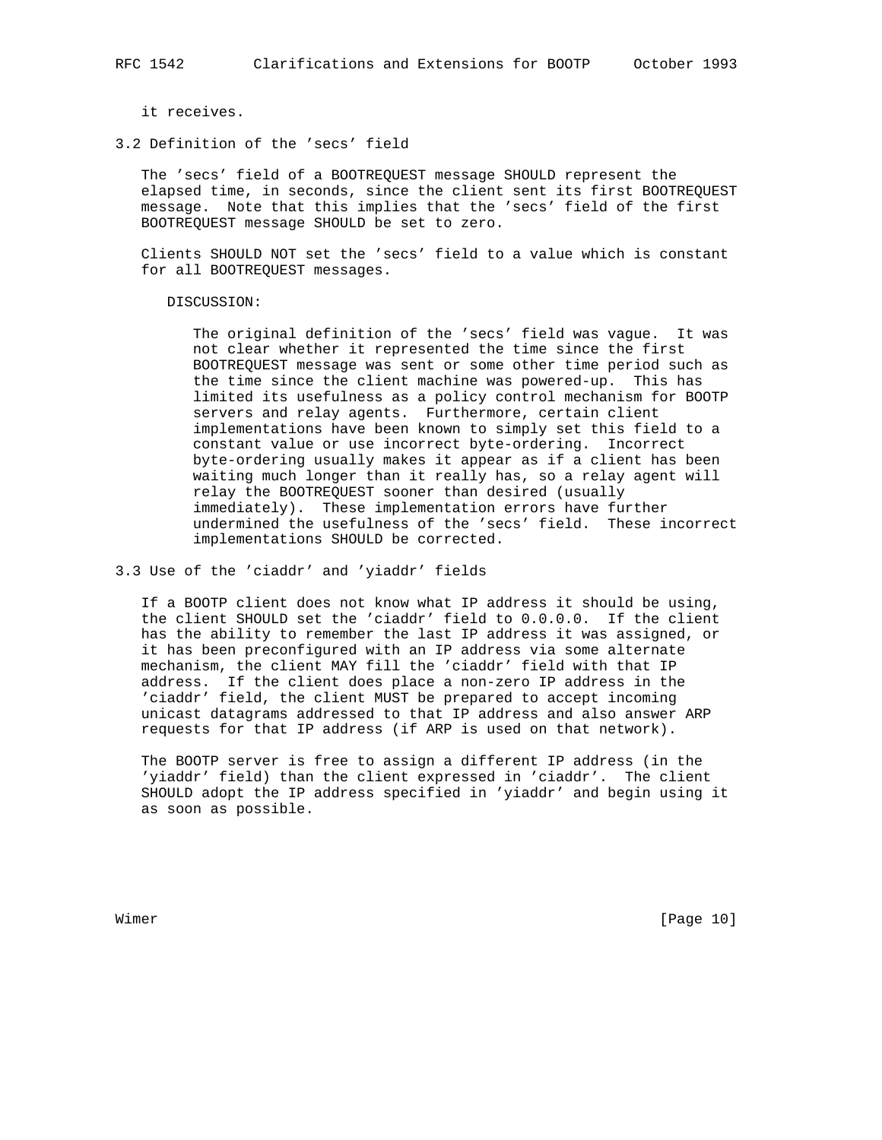it receives.

3.2 Definition of the 'secs' field

 The 'secs' field of a BOOTREQUEST message SHOULD represent the elapsed time, in seconds, since the client sent its first BOOTREQUEST message. Note that this implies that the 'secs' field of the first BOOTREQUEST message SHOULD be set to zero.

 Clients SHOULD NOT set the 'secs' field to a value which is constant for all BOOTREQUEST messages.

DISCUSSION:

 The original definition of the 'secs' field was vague. It was not clear whether it represented the time since the first BOOTREQUEST message was sent or some other time period such as the time since the client machine was powered-up. This has limited its usefulness as a policy control mechanism for BOOTP servers and relay agents. Furthermore, certain client implementations have been known to simply set this field to a constant value or use incorrect byte-ordering. Incorrect byte-ordering usually makes it appear as if a client has been waiting much longer than it really has, so a relay agent will relay the BOOTREQUEST sooner than desired (usually immediately). These implementation errors have further undermined the usefulness of the 'secs' field. These incorrect implementations SHOULD be corrected.

3.3 Use of the 'ciaddr' and 'yiaddr' fields

 If a BOOTP client does not know what IP address it should be using, the client SHOULD set the 'ciaddr' field to 0.0.0.0. If the client has the ability to remember the last IP address it was assigned, or it has been preconfigured with an IP address via some alternate mechanism, the client MAY fill the 'ciaddr' field with that IP address. If the client does place a non-zero IP address in the 'ciaddr' field, the client MUST be prepared to accept incoming unicast datagrams addressed to that IP address and also answer ARP requests for that IP address (if ARP is used on that network).

 The BOOTP server is free to assign a different IP address (in the 'yiaddr' field) than the client expressed in 'ciaddr'. The client SHOULD adopt the IP address specified in 'yiaddr' and begin using it as soon as possible.

Wimer [Page 10]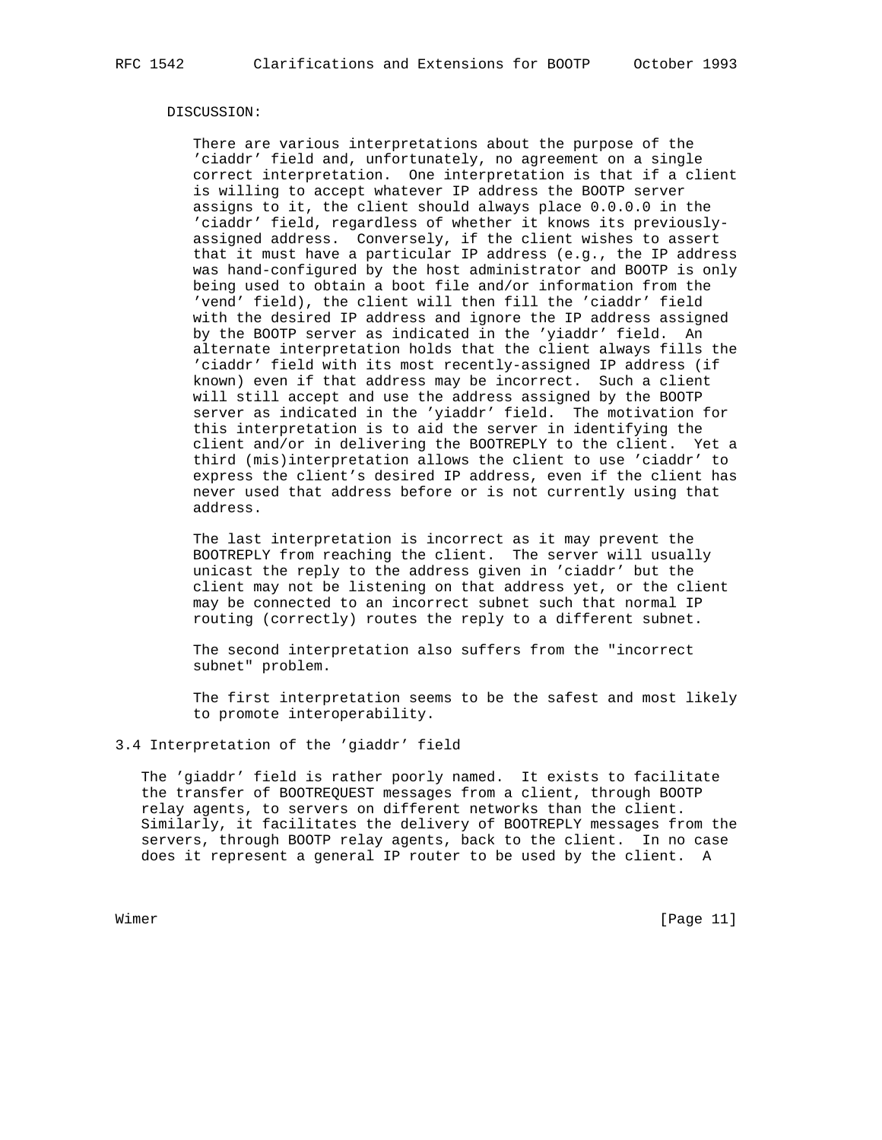#### DISCUSSION:

 There are various interpretations about the purpose of the 'ciaddr' field and, unfortunately, no agreement on a single correct interpretation. One interpretation is that if a client is willing to accept whatever IP address the BOOTP server assigns to it, the client should always place 0.0.0.0 in the 'ciaddr' field, regardless of whether it knows its previously assigned address. Conversely, if the client wishes to assert that it must have a particular IP address (e.g., the IP address was hand-configured by the host administrator and BOOTP is only being used to obtain a boot file and/or information from the 'vend' field), the client will then fill the 'ciaddr' field with the desired IP address and ignore the IP address assigned by the BOOTP server as indicated in the 'yiaddr' field. An alternate interpretation holds that the client always fills the 'ciaddr' field with its most recently-assigned IP address (if known) even if that address may be incorrect. Such a client will still accept and use the address assigned by the BOOTP server as indicated in the 'yiaddr' field. The motivation for this interpretation is to aid the server in identifying the client and/or in delivering the BOOTREPLY to the client. Yet a third (mis)interpretation allows the client to use 'ciaddr' to express the client's desired IP address, even if the client has never used that address before or is not currently using that address.

 The last interpretation is incorrect as it may prevent the BOOTREPLY from reaching the client. The server will usually unicast the reply to the address given in 'ciaddr' but the client may not be listening on that address yet, or the client may be connected to an incorrect subnet such that normal IP routing (correctly) routes the reply to a different subnet.

 The second interpretation also suffers from the "incorrect subnet" problem.

 The first interpretation seems to be the safest and most likely to promote interoperability.

## 3.4 Interpretation of the 'giaddr' field

 The 'giaddr' field is rather poorly named. It exists to facilitate the transfer of BOOTREQUEST messages from a client, through BOOTP relay agents, to servers on different networks than the client. Similarly, it facilitates the delivery of BOOTREPLY messages from the servers, through BOOTP relay agents, back to the client. In no case does it represent a general IP router to be used by the client. A

Wimer [Page 11]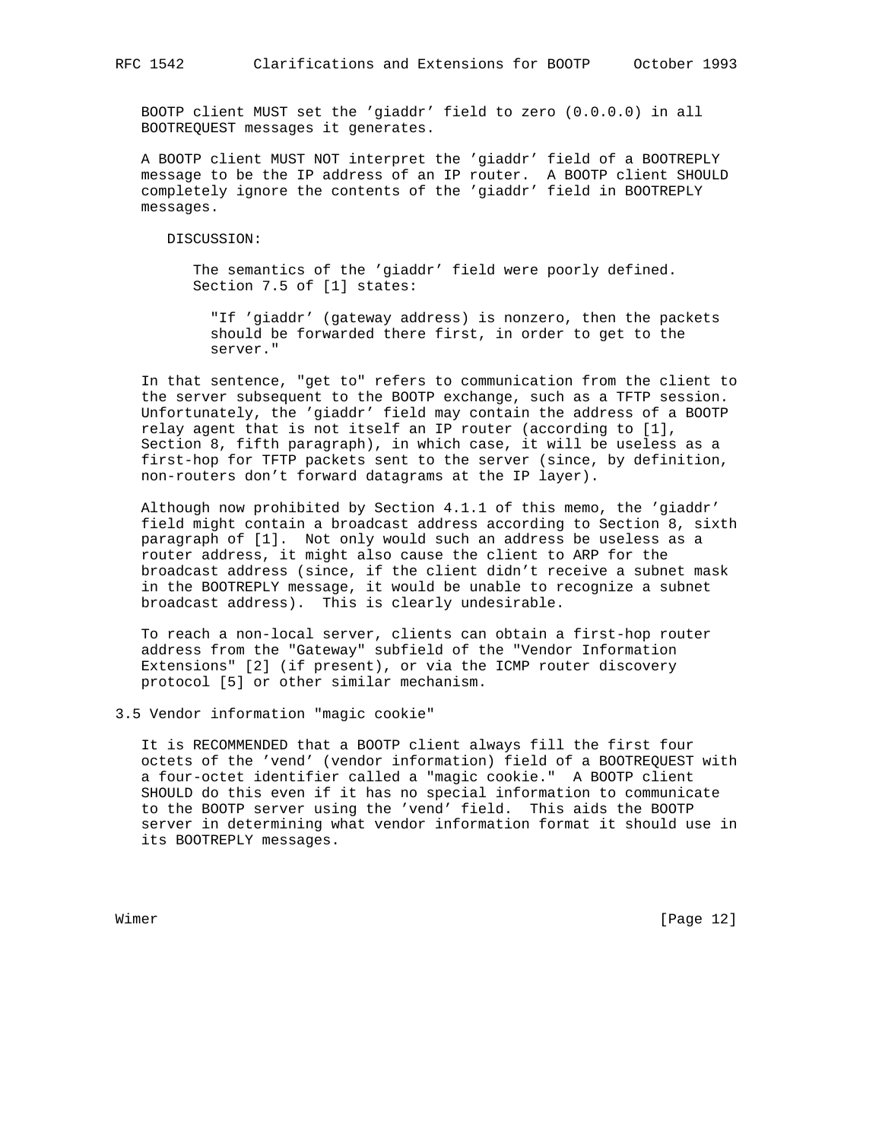BOOTP client MUST set the 'giaddr' field to zero (0.0.0.0) in all BOOTREQUEST messages it generates.

 A BOOTP client MUST NOT interpret the 'giaddr' field of a BOOTREPLY message to be the IP address of an IP router. A BOOTP client SHOULD completely ignore the contents of the 'giaddr' field in BOOTREPLY messages.

DISCUSSION:

 The semantics of the 'giaddr' field were poorly defined. Section 7.5 of [1] states:

 "If 'giaddr' (gateway address) is nonzero, then the packets should be forwarded there first, in order to get to the server."

 In that sentence, "get to" refers to communication from the client to the server subsequent to the BOOTP exchange, such as a TFTP session. Unfortunately, the 'giaddr' field may contain the address of a BOOTP relay agent that is not itself an IP router (according to [1], Section 8, fifth paragraph), in which case, it will be useless as a first-hop for TFTP packets sent to the server (since, by definition, non-routers don't forward datagrams at the IP layer).

 Although now prohibited by Section 4.1.1 of this memo, the 'giaddr' field might contain a broadcast address according to Section 8, sixth paragraph of [1]. Not only would such an address be useless as a router address, it might also cause the client to ARP for the broadcast address (since, if the client didn't receive a subnet mask in the BOOTREPLY message, it would be unable to recognize a subnet broadcast address). This is clearly undesirable.

 To reach a non-local server, clients can obtain a first-hop router address from the "Gateway" subfield of the "Vendor Information Extensions" [2] (if present), or via the ICMP router discovery protocol [5] or other similar mechanism.

3.5 Vendor information "magic cookie"

 It is RECOMMENDED that a BOOTP client always fill the first four octets of the 'vend' (vendor information) field of a BOOTREQUEST with a four-octet identifier called a "magic cookie." A BOOTP client SHOULD do this even if it has no special information to communicate to the BOOTP server using the 'vend' field. This aids the BOOTP server in determining what vendor information format it should use in its BOOTREPLY messages.

Wimer [Page 12]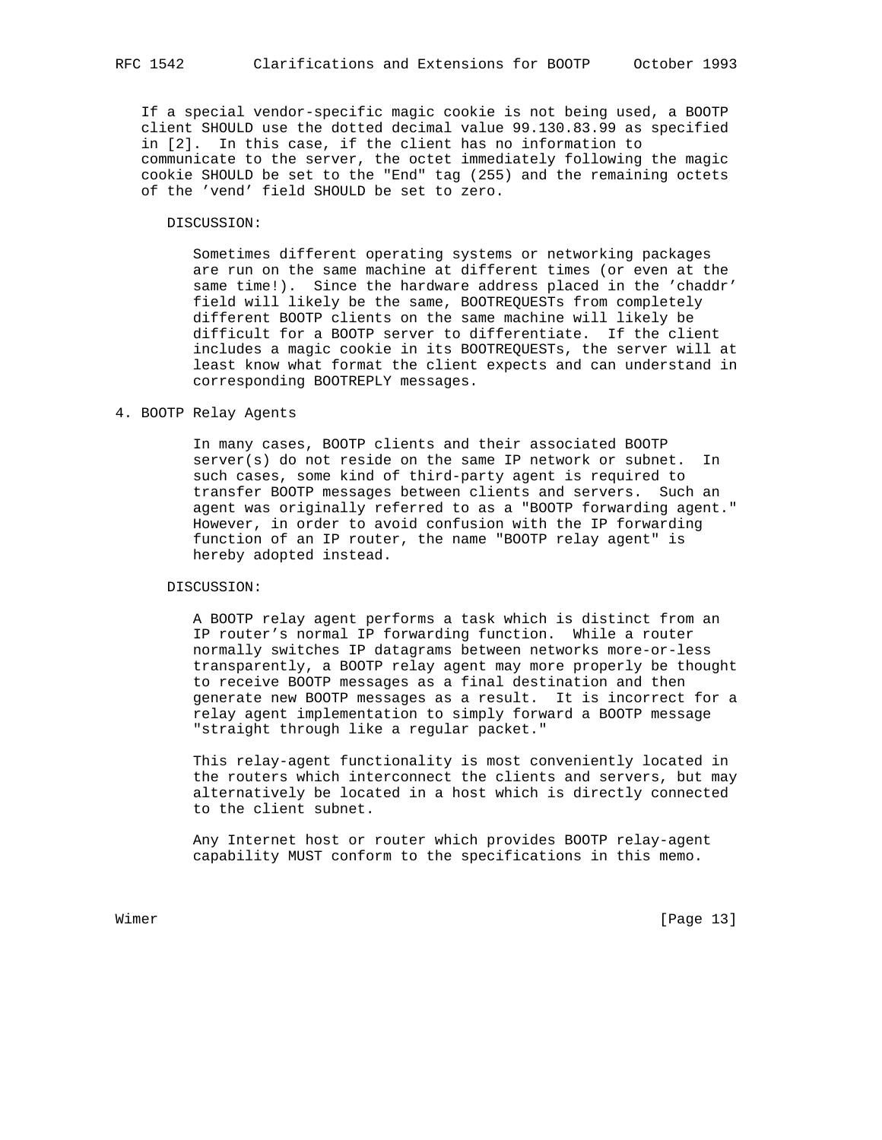If a special vendor-specific magic cookie is not being used, a BOOTP client SHOULD use the dotted decimal value 99.130.83.99 as specified in [2]. In this case, if the client has no information to communicate to the server, the octet immediately following the magic cookie SHOULD be set to the "End" tag (255) and the remaining octets of the 'vend' field SHOULD be set to zero.

#### DISCUSSION:

 Sometimes different operating systems or networking packages are run on the same machine at different times (or even at the same time!). Since the hardware address placed in the 'chaddr' field will likely be the same, BOOTREQUESTs from completely different BOOTP clients on the same machine will likely be difficult for a BOOTP server to differentiate. If the client includes a magic cookie in its BOOTREQUESTs, the server will at least know what format the client expects and can understand in corresponding BOOTREPLY messages.

# 4. BOOTP Relay Agents

 In many cases, BOOTP clients and their associated BOOTP server(s) do not reside on the same IP network or subnet. In such cases, some kind of third-party agent is required to transfer BOOTP messages between clients and servers. Such an agent was originally referred to as a "BOOTP forwarding agent." However, in order to avoid confusion with the IP forwarding function of an IP router, the name "BOOTP relay agent" is hereby adopted instead.

## DISCUSSION:

 A BOOTP relay agent performs a task which is distinct from an IP router's normal IP forwarding function. While a router normally switches IP datagrams between networks more-or-less transparently, a BOOTP relay agent may more properly be thought to receive BOOTP messages as a final destination and then generate new BOOTP messages as a result. It is incorrect for a relay agent implementation to simply forward a BOOTP message "straight through like a regular packet."

 This relay-agent functionality is most conveniently located in the routers which interconnect the clients and servers, but may alternatively be located in a host which is directly connected to the client subnet.

 Any Internet host or router which provides BOOTP relay-agent capability MUST conform to the specifications in this memo.

Wimer [Page 13]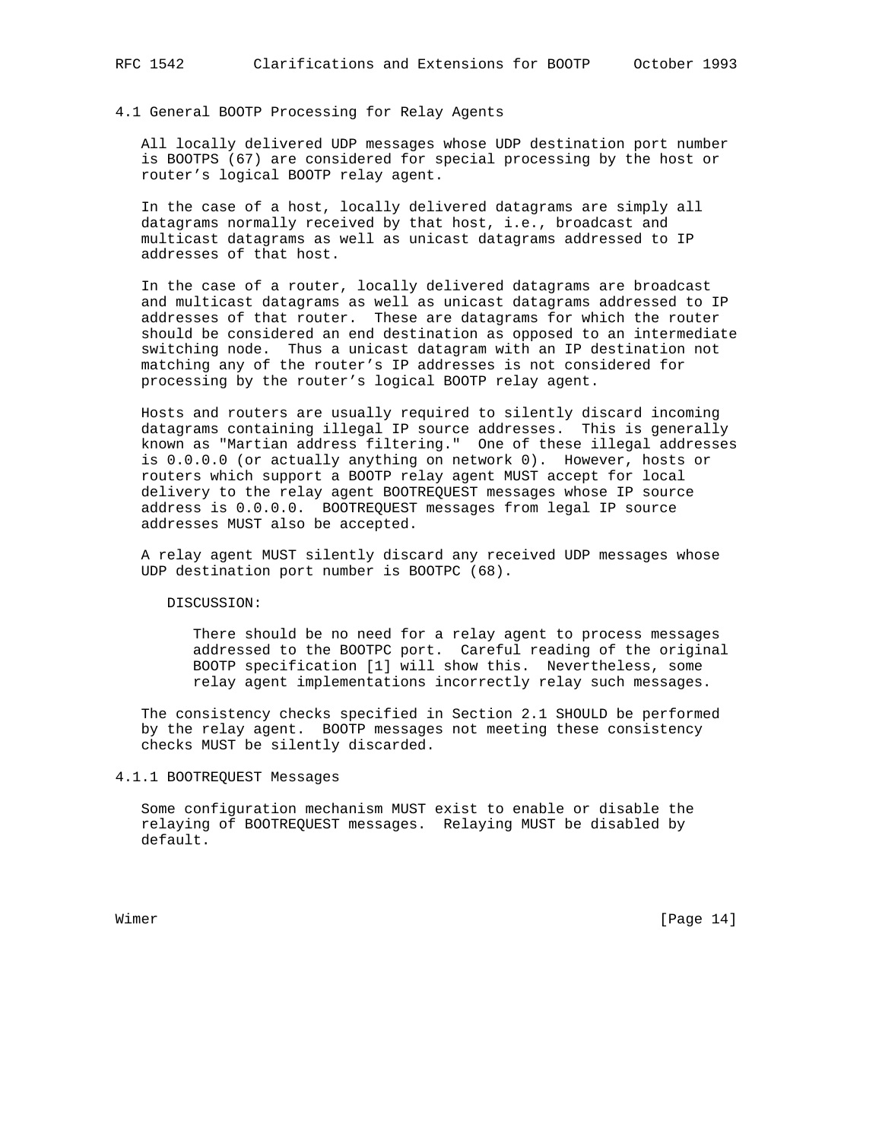### 4.1 General BOOTP Processing for Relay Agents

 All locally delivered UDP messages whose UDP destination port number is BOOTPS (67) are considered for special processing by the host or router's logical BOOTP relay agent.

 In the case of a host, locally delivered datagrams are simply all datagrams normally received by that host, i.e., broadcast and multicast datagrams as well as unicast datagrams addressed to IP addresses of that host.

 In the case of a router, locally delivered datagrams are broadcast and multicast datagrams as well as unicast datagrams addressed to IP addresses of that router. These are datagrams for which the router should be considered an end destination as opposed to an intermediate switching node. Thus a unicast datagram with an IP destination not matching any of the router's IP addresses is not considered for processing by the router's logical BOOTP relay agent.

 Hosts and routers are usually required to silently discard incoming datagrams containing illegal IP source addresses. This is generally known as "Martian address filtering." One of these illegal addresses is 0.0.0.0 (or actually anything on network 0). However, hosts or routers which support a BOOTP relay agent MUST accept for local delivery to the relay agent BOOTREQUEST messages whose IP source address is 0.0.0.0. BOOTREQUEST messages from legal IP source addresses MUST also be accepted.

 A relay agent MUST silently discard any received UDP messages whose UDP destination port number is BOOTPC (68).

DISCUSSION:

 There should be no need for a relay agent to process messages addressed to the BOOTPC port. Careful reading of the original BOOTP specification [1] will show this. Nevertheless, some relay agent implementations incorrectly relay such messages.

 The consistency checks specified in Section 2.1 SHOULD be performed by the relay agent. BOOTP messages not meeting these consistency checks MUST be silently discarded.

### 4.1.1 BOOTREQUEST Messages

 Some configuration mechanism MUST exist to enable or disable the relaying of BOOTREQUEST messages. Relaying MUST be disabled by default.

Wimer [Page 14]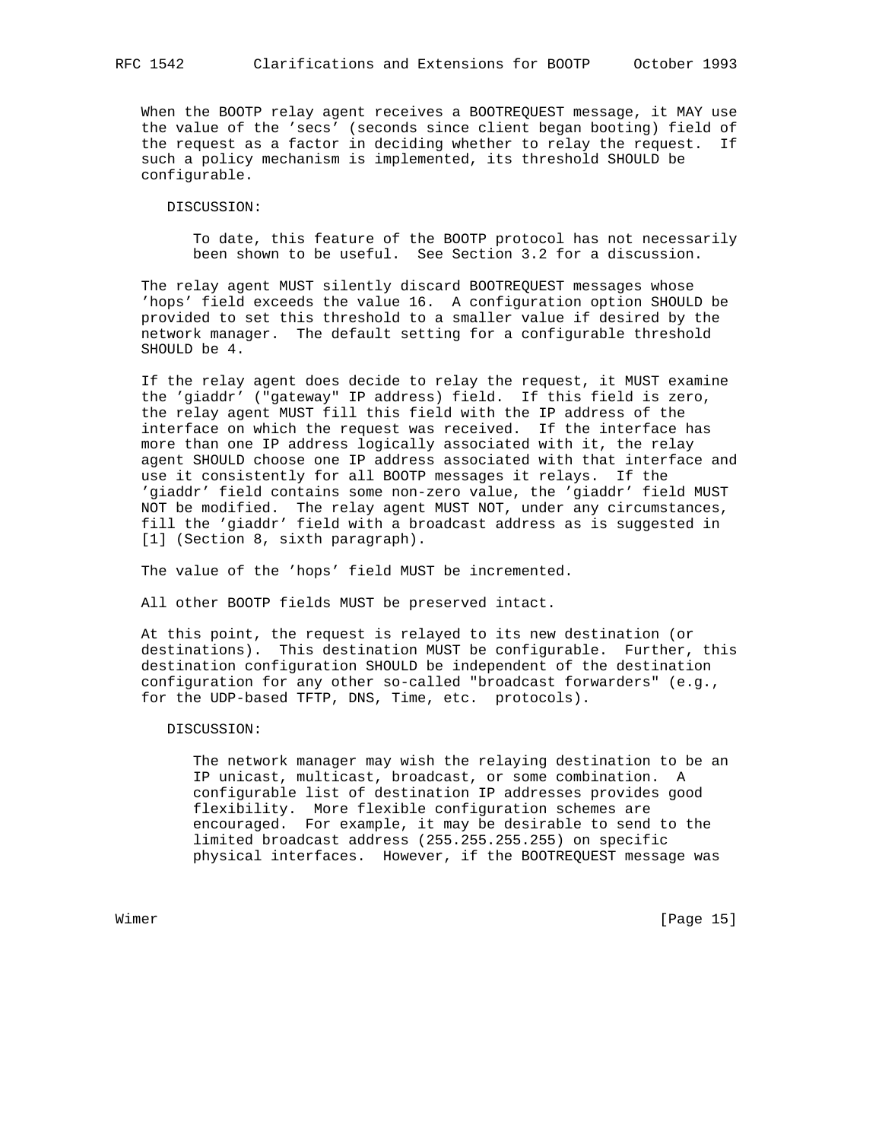DISCUSSION:

 To date, this feature of the BOOTP protocol has not necessarily been shown to be useful. See Section 3.2 for a discussion.

 The relay agent MUST silently discard BOOTREQUEST messages whose 'hops' field exceeds the value 16. A configuration option SHOULD be provided to set this threshold to a smaller value if desired by the network manager. The default setting for a configurable threshold SHOULD be 4.

 If the relay agent does decide to relay the request, it MUST examine the 'giaddr' ("gateway" IP address) field. If this field is zero, the relay agent MUST fill this field with the IP address of the interface on which the request was received. If the interface has more than one IP address logically associated with it, the relay agent SHOULD choose one IP address associated with that interface and use it consistently for all BOOTP messages it relays. If the 'giaddr' field contains some non-zero value, the 'giaddr' field MUST NOT be modified. The relay agent MUST NOT, under any circumstances, fill the 'giaddr' field with a broadcast address as is suggested in [1] (Section 8, sixth paragraph).

The value of the 'hops' field MUST be incremented.

All other BOOTP fields MUST be preserved intact.

 At this point, the request is relayed to its new destination (or destinations). This destination MUST be configurable. Further, this destination configuration SHOULD be independent of the destination configuration for any other so-called "broadcast forwarders" (e.g., for the UDP-based TFTP, DNS, Time, etc. protocols).

#### DISCUSSION:

 The network manager may wish the relaying destination to be an IP unicast, multicast, broadcast, or some combination. A configurable list of destination IP addresses provides good flexibility. More flexible configuration schemes are encouraged. For example, it may be desirable to send to the limited broadcast address (255.255.255.255) on specific physical interfaces. However, if the BOOTREQUEST message was

Wimer [Page 15]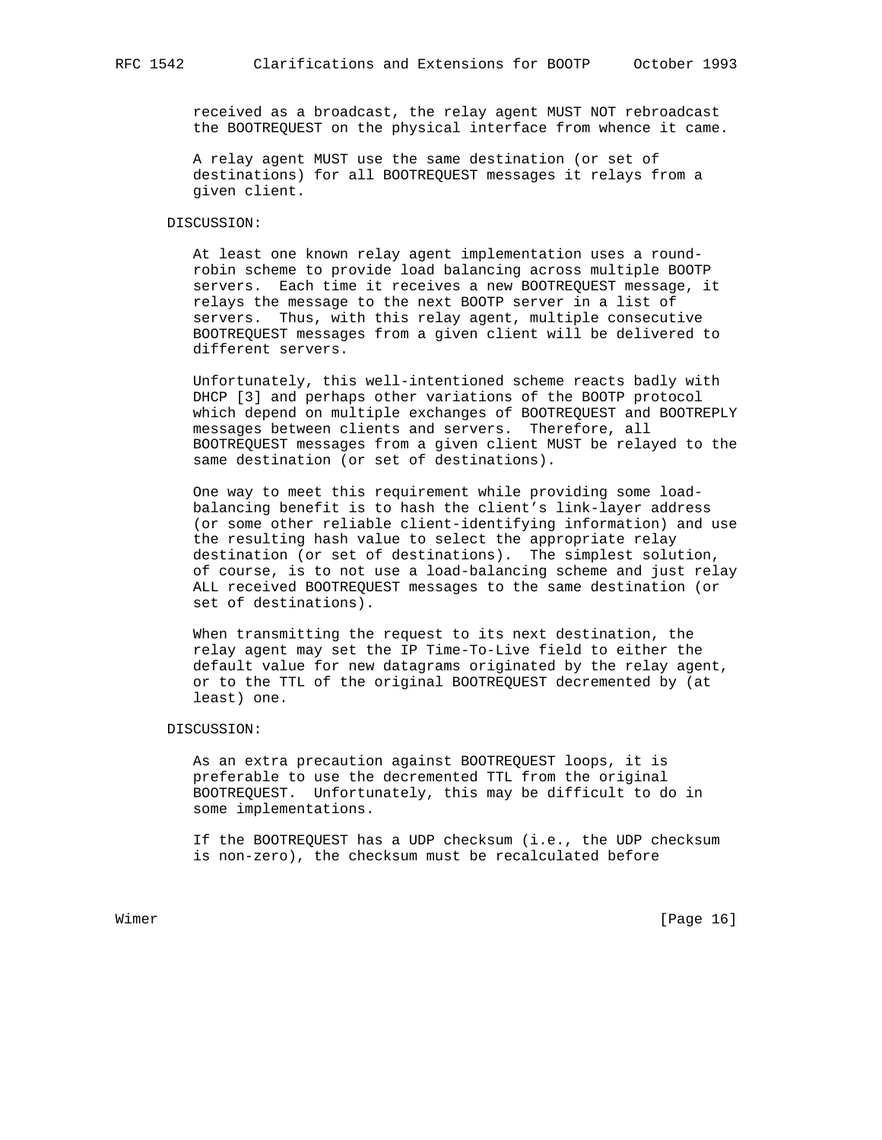received as a broadcast, the relay agent MUST NOT rebroadcast the BOOTREQUEST on the physical interface from whence it came.

 A relay agent MUST use the same destination (or set of destinations) for all BOOTREQUEST messages it relays from a given client.

# DISCUSSION:

 At least one known relay agent implementation uses a round robin scheme to provide load balancing across multiple BOOTP servers. Each time it receives a new BOOTREQUEST message, it relays the message to the next BOOTP server in a list of servers. Thus, with this relay agent, multiple consecutive BOOTREQUEST messages from a given client will be delivered to different servers.

 Unfortunately, this well-intentioned scheme reacts badly with DHCP [3] and perhaps other variations of the BOOTP protocol which depend on multiple exchanges of BOOTREQUEST and BOOTREPLY messages between clients and servers. Therefore, all BOOTREQUEST messages from a given client MUST be relayed to the same destination (or set of destinations).

 One way to meet this requirement while providing some load balancing benefit is to hash the client's link-layer address (or some other reliable client-identifying information) and use the resulting hash value to select the appropriate relay destination (or set of destinations). The simplest solution, of course, is to not use a load-balancing scheme and just relay ALL received BOOTREQUEST messages to the same destination (or set of destinations).

 When transmitting the request to its next destination, the relay agent may set the IP Time-To-Live field to either the default value for new datagrams originated by the relay agent, or to the TTL of the original BOOTREQUEST decremented by (at least) one.

#### DISCUSSION:

 As an extra precaution against BOOTREQUEST loops, it is preferable to use the decremented TTL from the original BOOTREQUEST. Unfortunately, this may be difficult to do in some implementations.

 If the BOOTREQUEST has a UDP checksum (i.e., the UDP checksum is non-zero), the checksum must be recalculated before

Wimer [Page 16]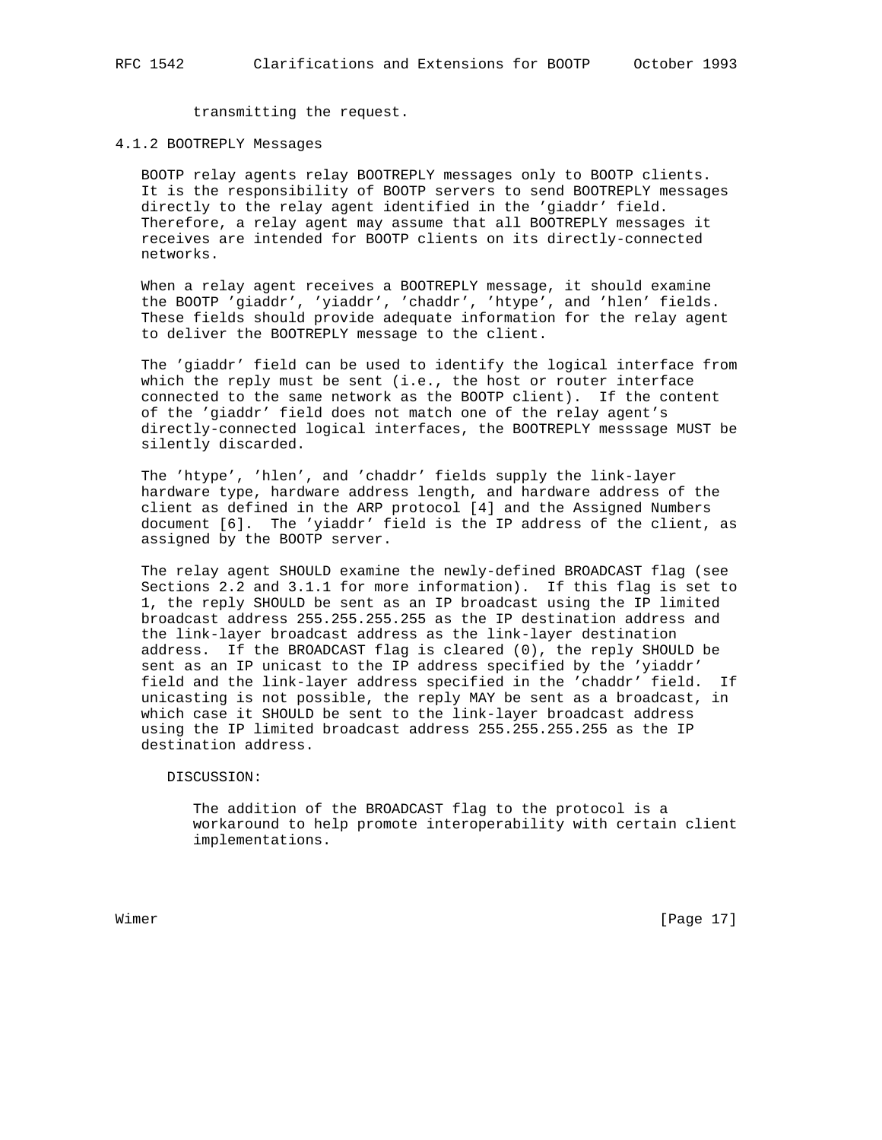transmitting the request.

#### 4.1.2 BOOTREPLY Messages

 BOOTP relay agents relay BOOTREPLY messages only to BOOTP clients. It is the responsibility of BOOTP servers to send BOOTREPLY messages directly to the relay agent identified in the 'giaddr' field. Therefore, a relay agent may assume that all BOOTREPLY messages it receives are intended for BOOTP clients on its directly-connected networks.

 When a relay agent receives a BOOTREPLY message, it should examine the BOOTP 'giaddr', 'yiaddr', 'chaddr', 'htype', and 'hlen' fields. These fields should provide adequate information for the relay agent to deliver the BOOTREPLY message to the client.

 The 'giaddr' field can be used to identify the logical interface from which the reply must be sent (i.e., the host or router interface connected to the same network as the BOOTP client). If the content of the 'giaddr' field does not match one of the relay agent's directly-connected logical interfaces, the BOOTREPLY messsage MUST be silently discarded.

 The 'htype', 'hlen', and 'chaddr' fields supply the link-layer hardware type, hardware address length, and hardware address of the client as defined in the ARP protocol [4] and the Assigned Numbers document [6]. The 'yiaddr' field is the IP address of the client, as assigned by the BOOTP server.

 The relay agent SHOULD examine the newly-defined BROADCAST flag (see Sections 2.2 and 3.1.1 for more information). If this flag is set to 1, the reply SHOULD be sent as an IP broadcast using the IP limited broadcast address 255.255.255.255 as the IP destination address and the link-layer broadcast address as the link-layer destination address. If the BROADCAST flag is cleared (0), the reply SHOULD be sent as an IP unicast to the IP address specified by the 'yiaddr' field and the link-layer address specified in the 'chaddr' field. If unicasting is not possible, the reply MAY be sent as a broadcast, in which case it SHOULD be sent to the link-layer broadcast address using the IP limited broadcast address 255.255.255.255 as the IP destination address.

DISCUSSION:

 The addition of the BROADCAST flag to the protocol is a workaround to help promote interoperability with certain client implementations.

Wimer [Page 17]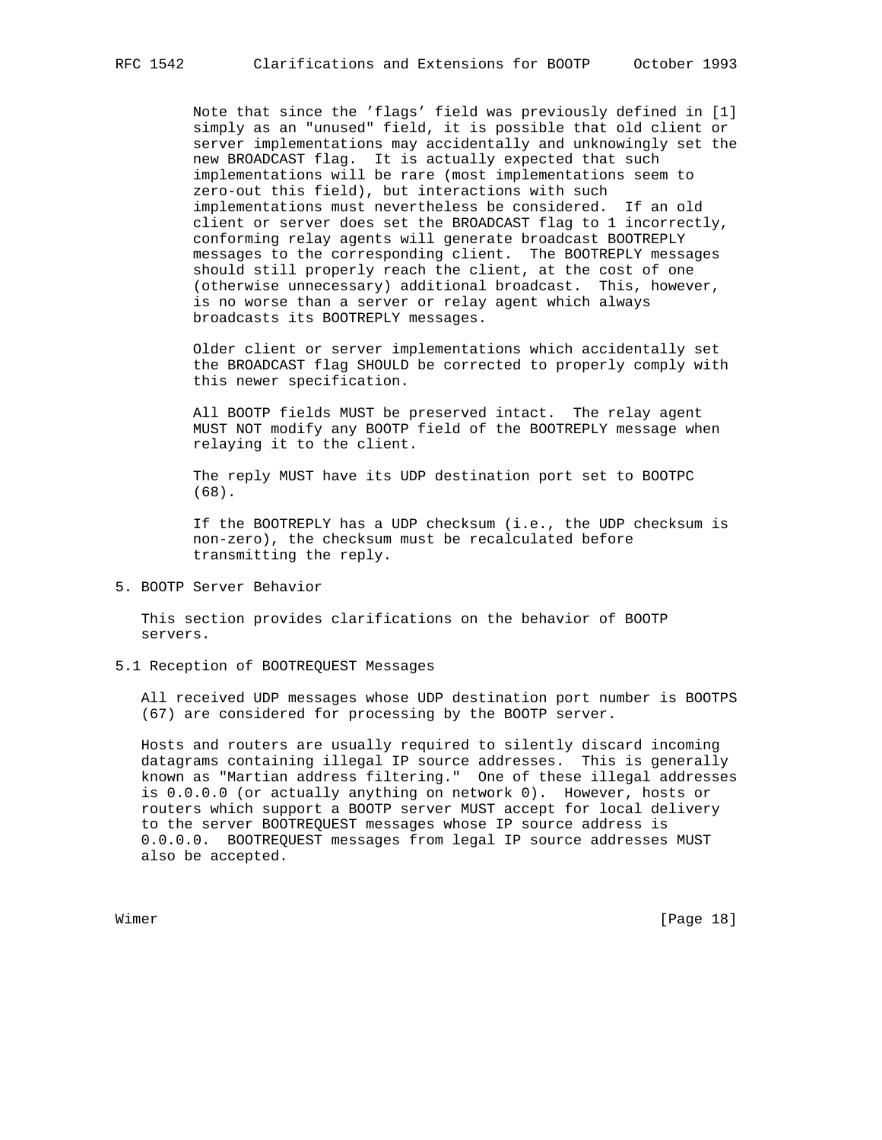Note that since the 'flags' field was previously defined in [1] simply as an "unused" field, it is possible that old client or server implementations may accidentally and unknowingly set the new BROADCAST flag. It is actually expected that such implementations will be rare (most implementations seem to zero-out this field), but interactions with such implementations must nevertheless be considered. If an old client or server does set the BROADCAST flag to 1 incorrectly, conforming relay agents will generate broadcast BOOTREPLY messages to the corresponding client. The BOOTREPLY messages should still properly reach the client, at the cost of one (otherwise unnecessary) additional broadcast. This, however, is no worse than a server or relay agent which always broadcasts its BOOTREPLY messages.

 Older client or server implementations which accidentally set the BROADCAST flag SHOULD be corrected to properly comply with this newer specification.

 All BOOTP fields MUST be preserved intact. The relay agent MUST NOT modify any BOOTP field of the BOOTREPLY message when relaying it to the client.

 The reply MUST have its UDP destination port set to BOOTPC (68).

 If the BOOTREPLY has a UDP checksum (i.e., the UDP checksum is non-zero), the checksum must be recalculated before transmitting the reply.

# 5. BOOTP Server Behavior

 This section provides clarifications on the behavior of BOOTP servers.

### 5.1 Reception of BOOTREQUEST Messages

 All received UDP messages whose UDP destination port number is BOOTPS (67) are considered for processing by the BOOTP server.

 Hosts and routers are usually required to silently discard incoming datagrams containing illegal IP source addresses. This is generally known as "Martian address filtering." One of these illegal addresses is 0.0.0.0 (or actually anything on network 0). However, hosts or routers which support a BOOTP server MUST accept for local delivery to the server BOOTREQUEST messages whose IP source address is 0.0.0.0. BOOTREQUEST messages from legal IP source addresses MUST also be accepted.

Wimer [Page 18]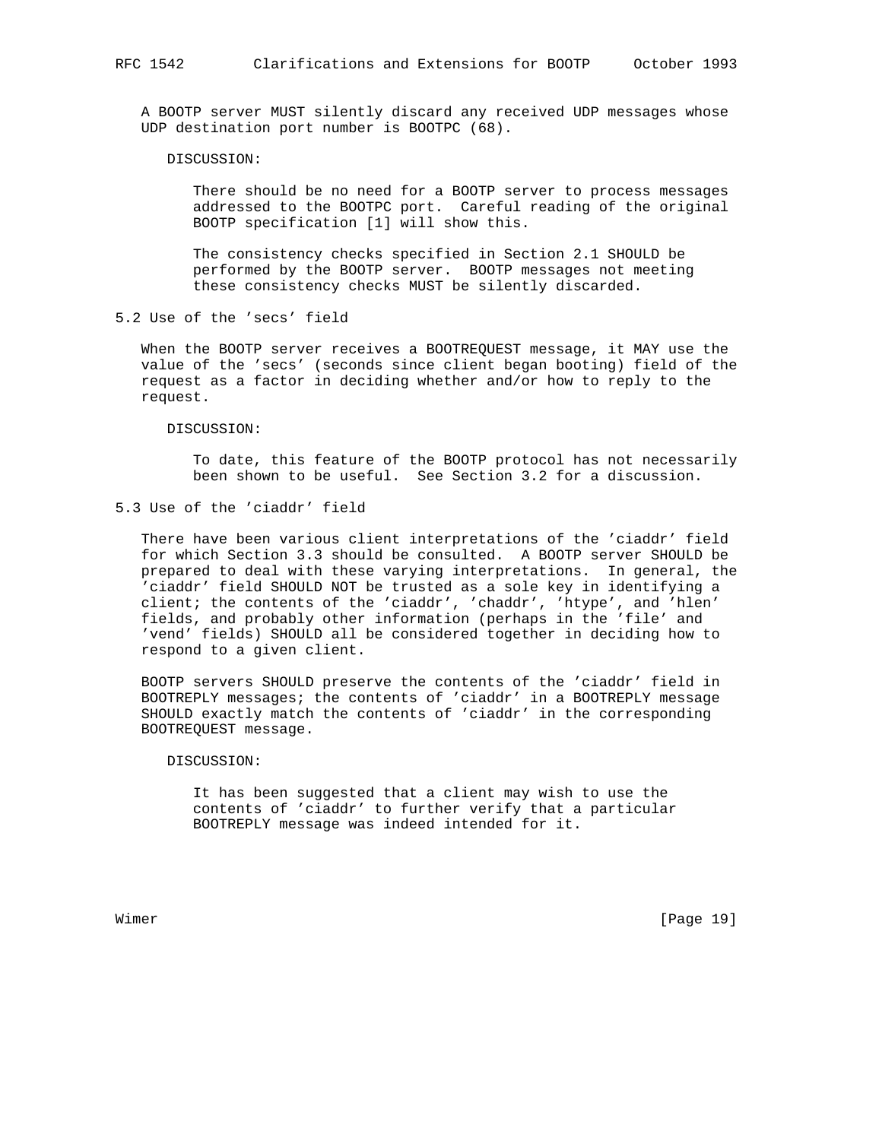A BOOTP server MUST silently discard any received UDP messages whose UDP destination port number is BOOTPC (68).

### DISCUSSION:

 There should be no need for a BOOTP server to process messages addressed to the BOOTPC port. Careful reading of the original BOOTP specification [1] will show this.

 The consistency checks specified in Section 2.1 SHOULD be performed by the BOOTP server. BOOTP messages not meeting these consistency checks MUST be silently discarded.

5.2 Use of the 'secs' field

 When the BOOTP server receives a BOOTREQUEST message, it MAY use the value of the 'secs' (seconds since client began booting) field of the request as a factor in deciding whether and/or how to reply to the request.

DISCUSSION:

 To date, this feature of the BOOTP protocol has not necessarily been shown to be useful. See Section 3.2 for a discussion.

5.3 Use of the 'ciaddr' field

 There have been various client interpretations of the 'ciaddr' field for which Section 3.3 should be consulted. A BOOTP server SHOULD be prepared to deal with these varying interpretations. In general, the 'ciaddr' field SHOULD NOT be trusted as a sole key in identifying a client; the contents of the 'ciaddr', 'chaddr', 'htype', and 'hlen' fields, and probably other information (perhaps in the 'file' and 'vend' fields) SHOULD all be considered together in deciding how to respond to a given client.

 BOOTP servers SHOULD preserve the contents of the 'ciaddr' field in BOOTREPLY messages; the contents of 'ciaddr' in a BOOTREPLY message SHOULD exactly match the contents of 'ciaddr' in the corresponding BOOTREQUEST message.

#### DISCUSSION:

 It has been suggested that a client may wish to use the contents of 'ciaddr' to further verify that a particular BOOTREPLY message was indeed intended for it.

Wimer [Page 19]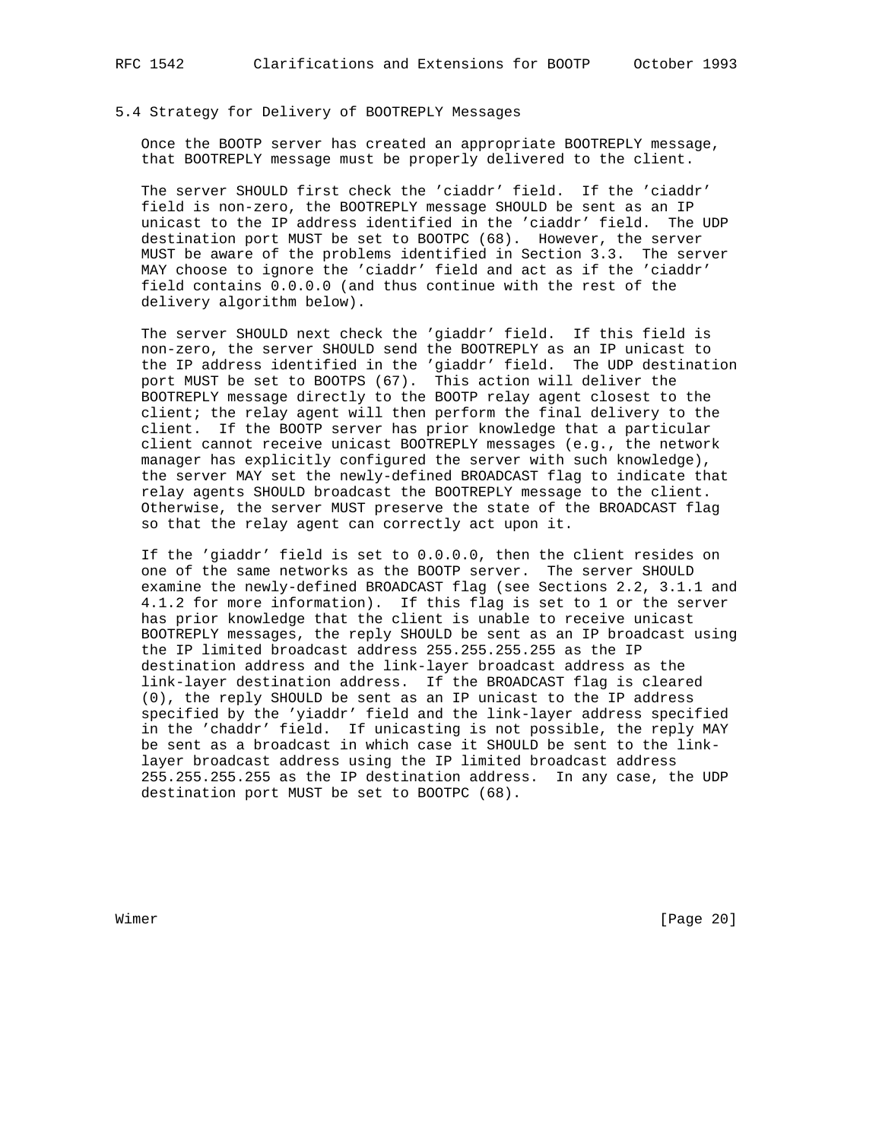# 5.4 Strategy for Delivery of BOOTREPLY Messages

 Once the BOOTP server has created an appropriate BOOTREPLY message, that BOOTREPLY message must be properly delivered to the client.

 The server SHOULD first check the 'ciaddr' field. If the 'ciaddr' field is non-zero, the BOOTREPLY message SHOULD be sent as an IP unicast to the IP address identified in the 'ciaddr' field. The UDP destination port MUST be set to BOOTPC (68). However, the server MUST be aware of the problems identified in Section 3.3. The server MAY choose to ignore the 'ciaddr' field and act as if the 'ciaddr' field contains 0.0.0.0 (and thus continue with the rest of the delivery algorithm below).

 The server SHOULD next check the 'giaddr' field. If this field is non-zero, the server SHOULD send the BOOTREPLY as an IP unicast to the IP address identified in the 'giaddr' field. The UDP destination port MUST be set to BOOTPS (67). This action will deliver the BOOTREPLY message directly to the BOOTP relay agent closest to the client; the relay agent will then perform the final delivery to the client. If the BOOTP server has prior knowledge that a particular client cannot receive unicast BOOTREPLY messages (e.g., the network manager has explicitly configured the server with such knowledge), the server MAY set the newly-defined BROADCAST flag to indicate that relay agents SHOULD broadcast the BOOTREPLY message to the client. Otherwise, the server MUST preserve the state of the BROADCAST flag so that the relay agent can correctly act upon it.

 If the 'giaddr' field is set to 0.0.0.0, then the client resides on one of the same networks as the BOOTP server. The server SHOULD examine the newly-defined BROADCAST flag (see Sections 2.2, 3.1.1 and 4.1.2 for more information). If this flag is set to 1 or the server has prior knowledge that the client is unable to receive unicast BOOTREPLY messages, the reply SHOULD be sent as an IP broadcast using the IP limited broadcast address 255.255.255.255 as the IP destination address and the link-layer broadcast address as the link-layer destination address. If the BROADCAST flag is cleared (0), the reply SHOULD be sent as an IP unicast to the IP address specified by the 'yiaddr' field and the link-layer address specified in the 'chaddr' field. If unicasting is not possible, the reply MAY be sent as a broadcast in which case it SHOULD be sent to the link layer broadcast address using the IP limited broadcast address 255.255.255.255 as the IP destination address. In any case, the UDP destination port MUST be set to BOOTPC (68).

Wimer [Page 20]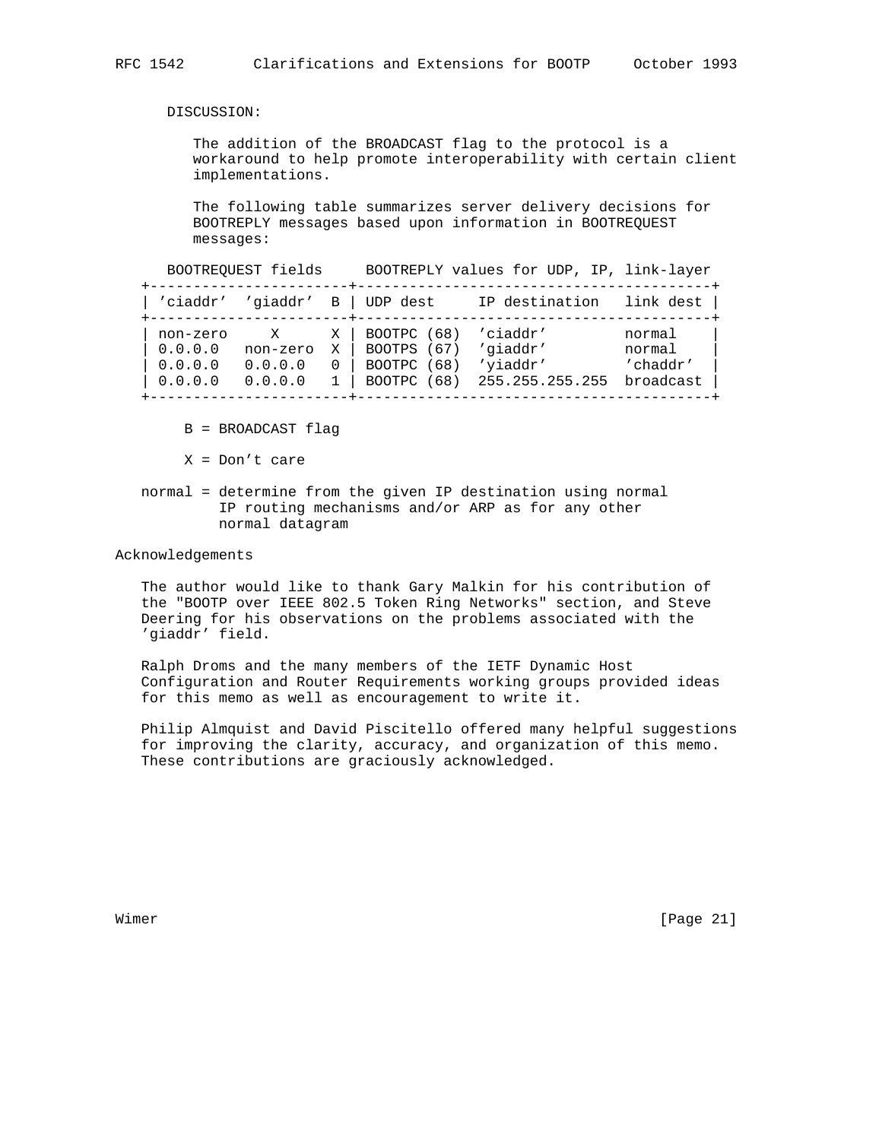DISCUSSION:

 The addition of the BROADCAST flag to the protocol is a workaround to help promote interoperability with certain client implementations.

 The following table summarizes server delivery decisions for BOOTREPLY messages based upon information in BOOTREQUEST messages:

 BOOTREQUEST fields BOOTREPLY values for UDP, IP, link-layer +-----------------------+-----------------------------------------+ | 'ciaddr' 'giaddr' B | UDP dest IP destination link dest | +-----------------------+-----------------------------------------+ | non-zero X X | BOOTPC (68) 'ciaddr' normal | | 0.0.0.0 non-zero X | BOOTPS (67) 'giaddr' normal | | 0.0.0.0 0.0.0.0 0 | BOOTPC (68) 'yiaddr' 'chaddr' | | 0.0.0.0 0.0.0.0 1 | BOOTPC (68) 255.255.255.255 broadcast | +-----------------------+-----------------------------------------+

- B = BROADCAST flag
- X = Don't care
- normal = determine from the given IP destination using normal IP routing mechanisms and/or ARP as for any other normal datagram

Acknowledgements

 The author would like to thank Gary Malkin for his contribution of the "BOOTP over IEEE 802.5 Token Ring Networks" section, and Steve Deering for his observations on the problems associated with the 'giaddr' field.

 Ralph Droms and the many members of the IETF Dynamic Host Configuration and Router Requirements working groups provided ideas for this memo as well as encouragement to write it.

 Philip Almquist and David Piscitello offered many helpful suggestions for improving the clarity, accuracy, and organization of this memo. These contributions are graciously acknowledged.

Wimer [Page 21]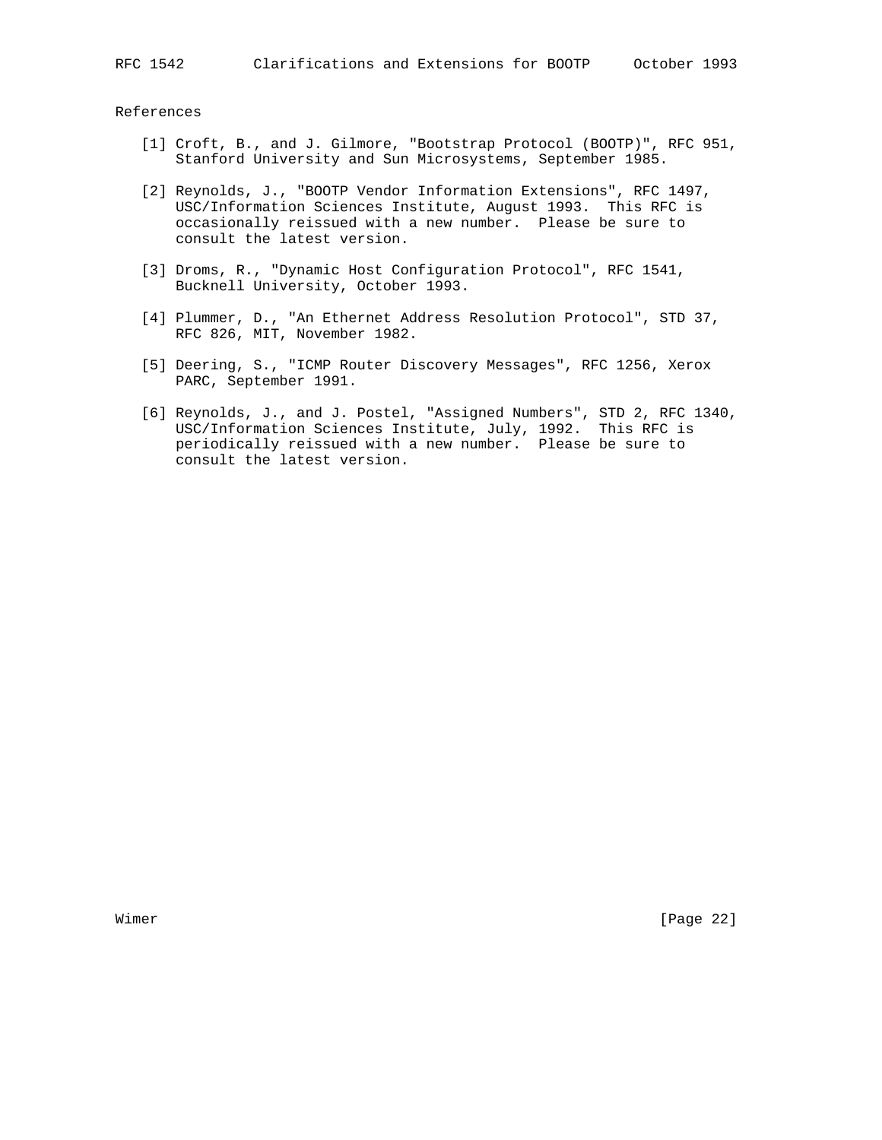RFC 1542 Clarifications and Extensions for BOOTP October 1993

#### References

- [1] Croft, B., and J. Gilmore, "Bootstrap Protocol (BOOTP)", RFC 951, Stanford University and Sun Microsystems, September 1985.
- [2] Reynolds, J., "BOOTP Vendor Information Extensions", RFC 1497, USC/Information Sciences Institute, August 1993. This RFC is occasionally reissued with a new number. Please be sure to consult the latest version.
- [3] Droms, R., "Dynamic Host Configuration Protocol", RFC 1541, Bucknell University, October 1993.
- [4] Plummer, D., "An Ethernet Address Resolution Protocol", STD 37, RFC 826, MIT, November 1982.
	- [5] Deering, S., "ICMP Router Discovery Messages", RFC 1256, Xerox PARC, September 1991.
	- [6] Reynolds, J., and J. Postel, "Assigned Numbers", STD 2, RFC 1340, USC/Information Sciences Institute, July, 1992. This RFC is periodically reissued with a new number. Please be sure to consult the latest version.